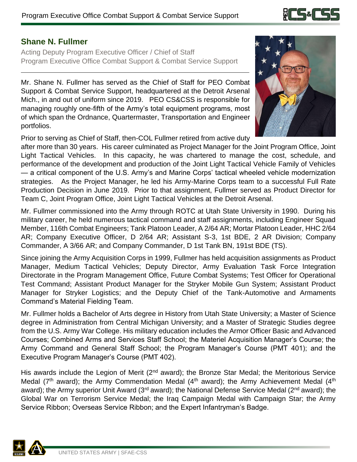

## **Shane N. Fullmer**

Acting Deputy Program Executive Officer / Chief of Staff Program Executive Office Combat Support & Combat Service Support

Mr. Shane N. Fullmer has served as the Chief of Staff for PEO Combat Support & Combat Service Support, headquartered at the Detroit Arsenal Mich., in and out of uniform since 2019. PEO CS&CSS is responsible for managing roughly one-fifth of the Army's total equipment programs, most of which span the Ordnance, Quartermaster, Transportation and Engineer portfolios.

Prior to serving as Chief of Staff, then-COL Fullmer retired from active duty

after more than 30 years. His career culminated as Project Manager for the Joint Program Office, Joint Light Tactical Vehicles. In this capacity, he was chartered to manage the cost, schedule, and performance of the development and production of the Joint Light Tactical Vehicle Family of Vehicles — a critical component of the U.S. Army's and Marine Corps' tactical wheeled vehicle modernization strategies. As the Project Manager, he led his Army-Marine Corps team to a successful Full Rate Production Decision in June 2019. Prior to that assignment, Fullmer served as Product Director for Team C, Joint Program Office, Joint Light Tactical Vehicles at the Detroit Arsenal.

Mr. Fullmer commissioned into the Army through ROTC at Utah State University in 1990. During his military career, he held numerous tactical command and staff assignments, including Engineer Squad Member, 116th Combat Engineers; Tank Platoon Leader, A 2/64 AR; Mortar Platoon Leader, HHC 2/64 AR; Company Executive Officer, D 2/64 AR; Assistant S-3, 1st BDE, 2 AR Division; Company Commander, A 3/66 AR; and Company Commander, D 1st Tank BN, 191st BDE (TS).

Since joining the Army Acquisition Corps in 1999, Fullmer has held acquisition assignments as Product Manager, Medium Tactical Vehicles; Deputy Director, Army Evaluation Task Force Integration Directorate in the Program Management Office, Future Combat Systems; Test Officer for Operational Test Command; Assistant Product Manager for the Stryker Mobile Gun System; Assistant Product Manager for Stryker Logistics; and the Deputy Chief of the Tank-Automotive and Armaments Command's Material Fielding Team.

Mr. Fullmer holds a Bachelor of Arts degree in History from Utah State University; a Master of Science degree in Administration from Central Michigan University; and a Master of Strategic Studies degree from the U.S. Army War College. His military education includes the Armor Officer Basic and Advanced Courses; Combined Arms and Services Staff School; the Materiel Acquisition Manager's Course; the Army Command and General Staff School; the Program Manager's Course (PMT 401); and the Executive Program Manager's Course (PMT 402).

His awards include the Legion of Merit ( $2<sup>nd</sup>$  award); the Bronze Star Medal; the Meritorious Service Medal ( $7<sup>th</sup>$  award); the Army Commendation Medal ( $4<sup>th</sup>$  award); the Army Achievement Medal ( $4<sup>th</sup>$ award); the Army superior Unit Award (3<sup>rd</sup> award); the National Defense Service Medal (2<sup>nd</sup> award); the Global War on Terrorism Service Medal; the Iraq Campaign Medal with Campaign Star; the Army Service Ribbon; Overseas Service Ribbon; and the Expert Infantryman's Badge.